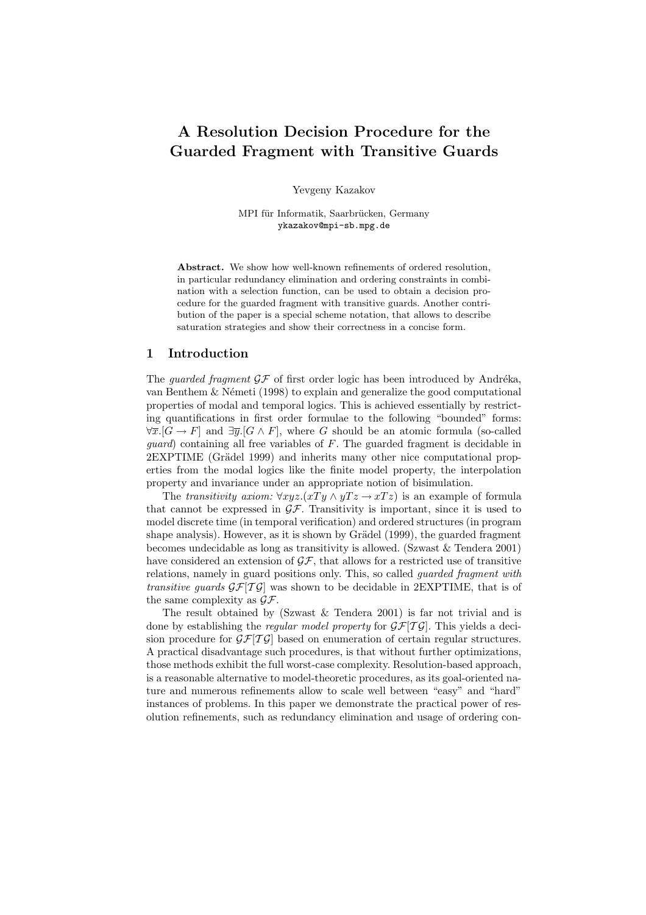# A Resolution Decision Procedure for the Guarded Fragment with Transitive Guards

Yevgeny Kazakov

MPI für Informatik, Saarbrücken, Germany ykazakov@mpi-sb.mpg.de

Abstract. We show how well-known refinements of ordered resolution, in particular redundancy elimination and ordering constraints in combination with a selection function, can be used to obtain a decision procedure for the guarded fragment with transitive guards. Another contribution of the paper is a special scheme notation, that allows to describe saturation strategies and show their correctness in a concise form.

# 1 Introduction

The *guarded fragment*  $\mathcal{GF}$  of first order logic has been introduced by Andréka, van Benthem  $\&$  Németi (1998) to explain and generalize the good computational properties of modal and temporal logics. This is achieved essentially by restricting quantifications in first order formulae to the following "bounded" forms:  $\forall \overline{x}.[G \to F]$  and  $\exists \overline{y}.[G \land F]$ , where G should be an atomic formula (so-called *guard*) containing all free variables of  $F$ . The guarded fragment is decidable in 2EXPTIME (Grädel 1999) and inherits many other nice computational properties from the modal logics like the finite model property, the interpolation property and invariance under an appropriate notion of bisimulation.

The transitivity axiom:  $\forall xyz.(xTy \land yTz \rightarrow xTz)$  is an example of formula that cannot be expressed in  $\mathcal{GF}$ . Transitivity is important, since it is used to model discrete time (in temporal verification) and ordered structures (in program shape analysis). However, as it is shown by Grädel (1999), the guarded fragment becomes undecidable as long as transitivity is allowed. (Szwast & Tendera 2001) have considered an extension of  $\mathcal{GF}$ , that allows for a restricted use of transitive relations, namely in guard positions only. This, so called guarded fragment with transitive guards  $\mathcal{GF}[T\mathcal{G}]$  was shown to be decidable in 2EXPTIME, that is of the same complexity as  $\mathcal{GF}.$ 

The result obtained by (Szwast & Tendera 2001) is far not trivial and is done by establishing the *regular model property* for  $\mathcal{GF}[T\mathcal{G}]$ . This yields a decision procedure for  $\mathcal{GF}[T\mathcal{G}]$  based on enumeration of certain regular structures. A practical disadvantage such procedures, is that without further optimizations, those methods exhibit the full worst-case complexity. Resolution-based approach, is a reasonable alternative to model-theoretic procedures, as its goal-oriented nature and numerous refinements allow to scale well between "easy" and "hard" instances of problems. In this paper we demonstrate the practical power of resolution refinements, such as redundancy elimination and usage of ordering con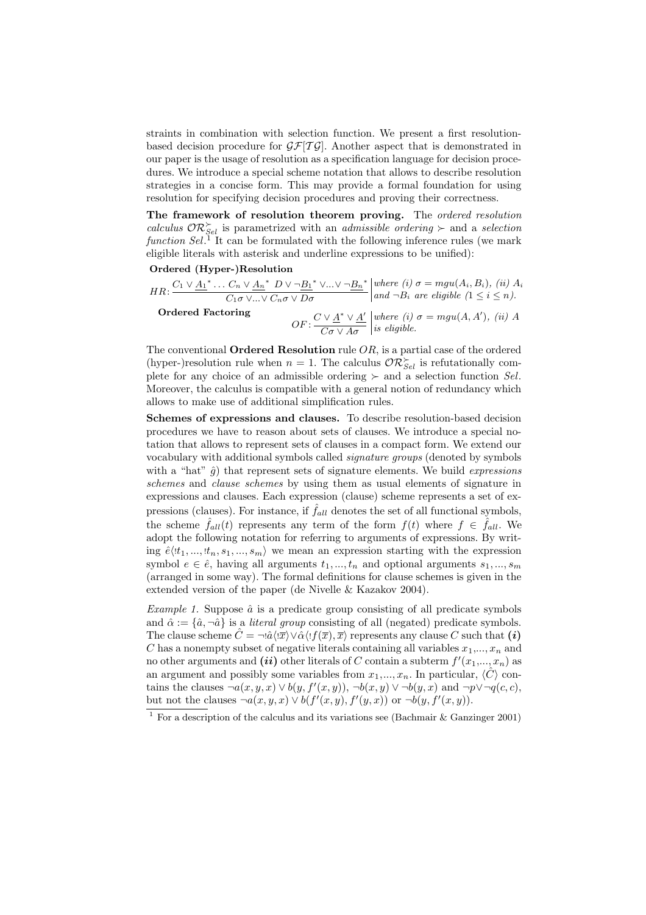straints in combination with selection function. We present a first resolutionbased decision procedure for  $\mathcal{GF}[T\mathcal{G}]$ . Another aspect that is demonstrated in our paper is the usage of resolution as a specification language for decision procedures. We introduce a special scheme notation that allows to describe resolution strategies in a concise form. This may provide a formal foundation for using resolution for specifying decision procedures and proving their correctness.

The framework of resolution theorem proving. The ordered resolution calculus  $\mathcal{OR}_{Sel}^{\succ}$  is parametrized with an admissible ordering  $\succ$  and a selection function  $Sel<sup>T</sup>$  It can be formulated with the following inference rules (we mark eligible literals with asterisk and underline expressions to be unified):

Ordered (Hyper-)Resolution

$$
HR: \frac{C_1 \vee \underline{A_1}^* \dots C_n \vee \underline{A_n}^* \ D \vee \neg \underline{B_1}^* \vee \dots \vee \neg \underline{B_n}^*}{C_1 \sigma \vee \dots \vee C_n \sigma \vee D\sigma} \Big| \text{where (i) } \sigma = mgu(A_i, B_i), \text{ (ii) } A_i
$$
\n
$$
\text{Ordered Factoring}
$$
\n
$$
OF: \frac{C \vee \underline{A}^* \vee \underline{A}'}{C\sigma \vee A\sigma} \Big| \text{where (i) } \sigma = mgu(A, A'), \text{ (ii) } A_i
$$

The conventional **Ordered Resolution** rule  $OR$ , is a partial case of the ordered (hyper-)resolution rule when  $n = 1$ . The calculus  $\mathcal{OR}_{Sel}^{\succ}$  is refutationally complete for any choice of an admissible ordering  $\succ$  and a selection function Sel. Moreover, the calculus is compatible with a general notion of redundancy which allows to make use of additional simplification rules.

Schemes of expressions and clauses. To describe resolution-based decision procedures we have to reason about sets of clauses. We introduce a special notation that allows to represent sets of clauses in a compact form. We extend our vocabulary with additional symbols called signature groups (denoted by symbols with a "hat"  $\hat{g}$ ) that represent sets of signature elements. We build *expressions* schemes and clause schemes by using them as usual elements of signature in expressions and clauses. Each expression (clause) scheme represents a set of expressions (clauses). For instance, if  $\hat{f}_{all}$  denotes the set of all functional symbols, the scheme  $\hat{f}_{all}(t)$  represents any term of the form  $f(t)$  where  $f \in \hat{f}_{all}$ . We adopt the following notation for referring to arguments of expressions. By writing  $\hat{e}(t_1, ..., t_n, s_1, ..., s_m)$  we mean an expression starting with the expression symbol  $e \in \hat{e}$ , having all arguments  $t_1, ..., t_n$  and optional arguments  $s_1, ..., s_m$ (arranged in some way). The formal definitions for clause schemes is given in the extended version of the paper (de Nivelle & Kazakov 2004).

Example 1. Suppose  $\hat{a}$  is a predicate group consisting of all predicate symbols and  $\hat{\alpha} := \{\hat{a}, \neg \hat{a}\}\$ is a *literal group* consisting of all (negated) predicate symbols. The clause scheme  $\hat{C} = \neg \hat{a} \langle \overline{x} \rangle \vee \hat{\alpha} \langle \overline{x}, \overline{x} \rangle$  represents any clause C such that  $(i)$ C has a nonempty subset of negative literals containing all variables  $x_1,...,x_n$  and no other arguments and  $(ii)$  other literals of C contain a subterm  $f'(x_1,...,x_n)$  as an argument and possibly some variables from  $x_1, ..., x_n$ . In particular,  $\langle \hat{C} \rangle$  contains the clauses  $\neg a(x, y, x) \lor b(y, f'(x, y)), \neg b(x, y) \lor \neg b(y, x)$  and  $\neg p \lor \neg q(c, c)$ , but not the clauses  $\neg a(x, y, x) \lor b(f'(x, y), f'(y, x))$  or  $\neg b(y, f'(x, y)).$ 

<sup>&</sup>lt;sup>1</sup> For a description of the calculus and its variations see (Bachmair & Ganzinger 2001)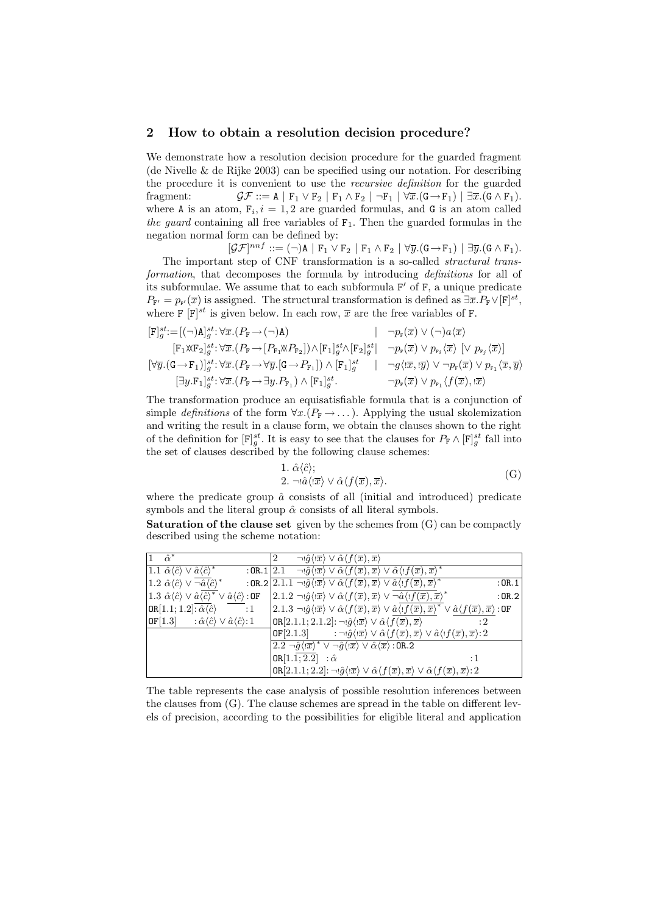# 2 How to obtain a resolution decision procedure?

We demonstrate how a resolution decision procedure for the guarded fragment (de Nivelle  $\&$  de Rijke 2003) can be specified using our notation. For describing the procedure it is convenient to use the recursive definition for the guarded fragment:  $\mathcal{GF} ::= A | F_1 \vee F_2 | F_1 \wedge F_2 | \neg F_1 | \forall \overline{x}.(G \rightarrow F_1) | \exists \overline{x}.(G \wedge F_1).$ where A is an atom,  $F_i$ ,  $i = 1, 2$  are guarded formulas, and G is an atom called the guard containing all free variables of  $F_1$ . Then the guarded formulas in the negation normal form can be defined by:

 $[\mathcal{GF}]^{nnf}:=(\neg)A \mid F_1 \vee F_2 \mid F_1 \wedge F_2 \mid \forall \overline{y}.(G \rightarrow F_1) \mid \exists \overline{y}.(G \wedge F_1).$ The important step of CNF transformation is a so-called structural transformation, that decomposes the formula by introducing *definitions* for all of its subformulae. We assume that to each subformula  $F'$  of  $F$ , a unique predicate  $P_{\mathbf{F}'} = p_{\mathbf{F}}(\overline{x})$  is assigned. The structural transformation is defined as  $\exists \overline{x}. P_{\mathbf{F}} \vee [\mathbf{F}]^{st}$ , where F  $[F]^{st}$  is given below. In each row,  $\overline{x}$  are the free variables of F.

$$
\begin{array}{ll} & [\mathbf{F}]^{st}_{g} := [(\neg) \mathbf{A}]^{st}_{g} : \forall \overline{x}. (P_{\mathbf{F}} \rightarrow (\neg) \mathbf{A}) & \neg p_{\mathbf{F}}(\overline{x}) \vee (\neg) a \langle \overline{x} \rangle \\ & [\mathbf{F}_1 \mathbf{X} \mathbf{F}_2]^{st}_{g} : \forall \overline{x}. (P_{\mathbf{F}} \rightarrow [P_{\mathbf{F}_1} \mathbf{X} P_{\mathbf{F}_2}]) \wedge [\mathbf{F}_1]^{st}_{g} \wedge [\mathbf{F}_2]^{st}_{g} & \neg p_{\mathbf{F}}(\overline{x}) \vee p_{\mathbf{F}_i} \langle \overline{x} \rangle \; [\vee \; p_{\mathbf{F}_j} \langle \overline{x} \rangle] \\ & [\forall \overline{y}. (\mathbf{G} \rightarrow \mathbf{F}_1)]^{st}_{g} : \forall \overline{x}. (P_{\mathbf{F}} \rightarrow \forall \overline{y}. [\mathbf{G} \rightarrow P_{\mathbf{F}_1}]) \wedge [\mathbf{F}_1]^{st}_{g} & \neg g \langle \langle \overline{x}, \overline{y} \rangle \vee \neg p_{\mathbf{F}}(\overline{x}) \vee p_{\mathbf{F}_1} \langle \overline{x}, \overline{y} \rangle \\ & [\exists y. \mathbf{F}_1]^{st}_{g} : \forall \overline{x}. (P_{\mathbf{F}} \rightarrow \exists y. P_{\mathbf{F}_1}) \wedge [\mathbf{F}_1]^{st}_{g} & \neg p_{\mathbf{F}}(\overline{x}) \vee p_{\mathbf{F}_1} \langle f(\overline{x}), \overline{x} \rangle \end{array}
$$

The transformation produce an equisatisfiable formula that is a conjunction of simple definitions of the form  $\forall x.(P_F \rightarrow \dots)$ . Applying the usual skolemization and writing the result in a clause form, we obtain the clauses shown to the right of the definition for  $[F]_g^{st}$ . It is easy to see that the clauses for  $P_F \wedge [F]_g^{st}$  fall into the set of clauses described by the following clause schemes:

1. 
$$
\hat{\alpha}\langle\hat{c}\rangle
$$
;  
\n2.  $\neg\hat{a}\langle\hat{x}\rangle \vee \hat{\alpha}\langle f(\overline{x}), \overline{x}\rangle$ . (G)

where the predicate group  $\hat{a}$  consists of all (initial and introduced) predicate symbols and the literal group  $\hat{\alpha}$  consists of all literal symbols.

**Saturation of the clause set** given by the schemes from  $(G)$  can be compactly described using the scheme notation:

| $\hat{\alpha}^*$                                                                                                              | $\neg \hat{q} \langle \overline{x} \rangle \vee \hat{\alpha} \langle f(\overline{x}), \overline{x} \rangle$<br>2                                                                                                                                          |
|-------------------------------------------------------------------------------------------------------------------------------|-----------------------------------------------------------------------------------------------------------------------------------------------------------------------------------------------------------------------------------------------------------|
| 1.1 $\hat{\alpha}\langle\hat{c}\rangle \vee \hat{a}\langle\hat{c}\rangle^*$                                                   | : OR. 1 $ 2.1 - \neg \hat{g}\langle \overline{x}\rangle \vee \hat{\alpha}\langle f(\overline{x}), \overline{x}\rangle \vee \hat{\alpha}\langle \overline{f}(\overline{x}), \overline{x}\rangle^*$                                                         |
| 1.2 $\hat{\alpha}\langle\hat{c}\rangle \vee \neg \hat{a}\langle\hat{c}\rangle^*$                                              | : OR.2 $\left  2.1.1 \right  \neg \hat{g} \langle \overline{x} \rangle \vee \hat{\alpha} \langle f(\overline{x}), \overline{x} \rangle \vee \hat{a} \langle f(\overline{x}), \overline{x} \rangle^*$<br>:OR.1                                             |
| 1.3 $\hat{\alpha}\langle\hat{c}\rangle \vee \hat{a}\overline{\langle\hat{c}\rangle^*} \vee \hat{a}\langle\hat{c}\rangle$ : OF | $\ket{2.1.2 \neg \theta \langle \ket{\overline{x}} \vee \hat{\alpha} \langle f(\overline{x}), \overline{x} \rangle \vee \neg \hat{\alpha} \langle \exists f(\overline{x}), \overline{x} \rangle^*}$<br>:OR.2                                              |
| $OR[1.1; 1.2]: \hat{\alpha} \langle \hat{c} \rangle$<br>$\cdot$ :1                                                            | $(2.1.3 \neg \theta \langle \overline{x} \rangle \vee \hat{\alpha} \langle f(\overline{x}), \overline{x} \rangle \vee \hat{\alpha} \langle f(\overline{x}), \overline{x} \rangle^* \vee \hat{\alpha} \langle f(\overline{x}), \overline{x} \rangle : 0$ F |
| $ \text{OF}[1.3]$ : $\hat{\alpha}\langle \hat{c} \rangle \vee \hat{a}\langle \hat{c} \rangle$ : 1                             | OR[2.1.1; 2.1.2]: $\neg$ ! $\hat{g}\langle \overline{x}\rangle \vee \hat{\alpha}\langle f(\overline{x}), \overline{x}\rangle$                                                                                                                             |
|                                                                                                                               | <b>OF</b> [2.1.3] $:\neg \hat{g}\langle \overline{x} \rangle \vee \hat{\alpha} \langle f(\overline{x}), \overline{x} \rangle \vee \hat{a} \langle f(\overline{x}), \overline{x} \rangle$ :2                                                               |
|                                                                                                                               | $2.2 \neg \hat{g}\langle \overline{x} \rangle^* \vee \neg \hat{g}\langle \overline{x} \rangle \vee \hat{\alpha}\langle \overline{x} \rangle$ :0R.2                                                                                                        |
|                                                                                                                               | $OR[1.1; 2.2]$ : $\hat{\alpha}$<br>: 1                                                                                                                                                                                                                    |
|                                                                                                                               | $OR[2.1.1; 2.2]: \neg \hat{g}\langle \overline{x} \rangle \lor \hat{\alpha}\langle f(\overline{x}), \overline{x} \rangle \lor \hat{\alpha}\langle f(\overline{x}), \overline{x} \rangle$ : 2                                                              |

The table represents the case analysis of possible resolution inferences between the clauses from (G). The clause schemes are spread in the table on different levels of precision, according to the possibilities for eligible literal and application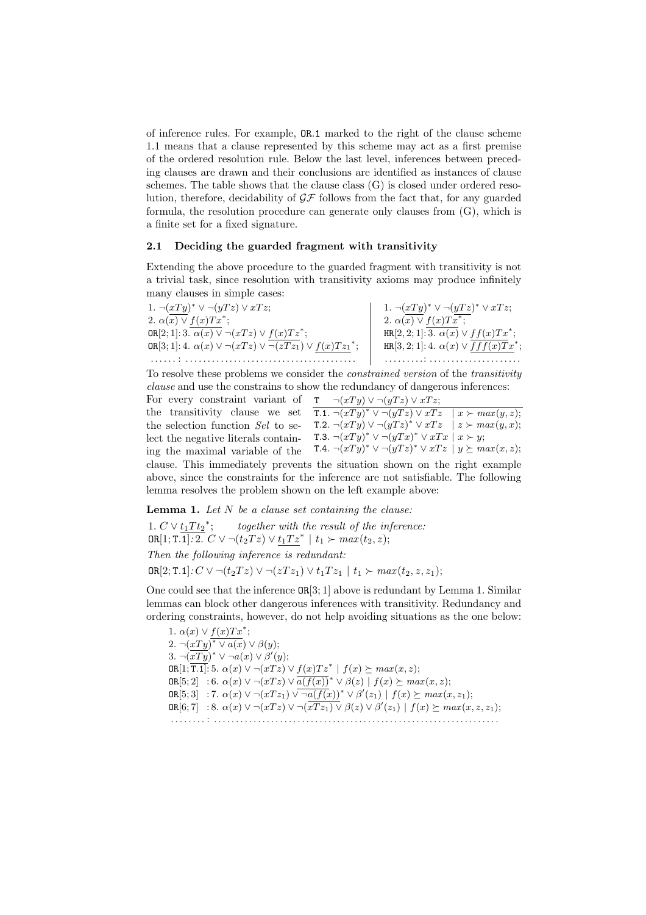of inference rules. For example, OR.1 marked to the right of the clause scheme 1.1 means that a clause represented by this scheme may act as a first premise of the ordered resolution rule. Below the last level, inferences between preceding clauses are drawn and their conclusions are identified as instances of clause schemes. The table shows that the clause class  $(G)$  is closed under ordered resolution, therefore, decidability of  $\mathcal{GF}$  follows from the fact that, for any guarded formula, the resolution procedure can generate only clauses from (G), which is a finite set for a fixed signature.

#### 2.1 Deciding the guarded fragment with transitivity

Extending the above procedure to the guarded fragment with transitivity is not a trivial task, since resolution with transitivity axioms may produce infinitely many clauses in simple cases:

1.  $\neg(xTy)^* \vee \neg(yTz) \vee xTz;$ 2.  $\alpha(x) \vee f(x) Tx^*;$ OR[2; 1]:  $3.\ \overline{\alpha(x)} \vee \neg(xTz) \vee f(x)Tz^*;$ OR[3; 1]: 4.  $\alpha(x) \vee \neg(xTz) \vee \overline{\neg(zTz_1)} \vee f(x)Tz_1^*;$ . . . . . . : . . . . . . . . . . . . . . . . . . . . . . . . . . . . . . . . . . . . . . . 1.  $\neg(xTy)^* \vee \neg(yTz)^* \vee xTz;$ 2.  $\alpha(x) \vee f(x) T x^*;$  $HR[2,2;1]:\overline{3. \alpha(x)} \vee ff(x)Tx^*;$  $HR[3, 2; 1]: 4. \ \alpha(x) \vee \overline{fff(x)Tx}^*;$ . . . . . . . . .: . . . . . . . . . . . . . . . . . . . . .

To resolve these problems we consider the constrained version of the transitivity clause and use the constrains to show the redundancy of dangerous inferences:

For every constraint variant of  $\tau$   $\neg(xTy) \vee \neg(yTz) \vee xTz$ ; the transitivity clause we set  $\overline{T} \cdot \overline{T} \cdot \overline{T} \cdot \overline{T} \cdot \overline{T} \cdot \overline{T} \cdot \overline{T} \cdot \overline{T} \cdot \overline{T} \cdot \overline{T} \cdot \overline{T} \cdot \overline{T} \cdot \overline{T} \cdot \overline{T} \cdot \overline{T} \cdot \overline{T} \cdot \overline{T} \cdot \overline{T} \cdot \overline{T} \cdot \overline{T} \cdot \overline{T} \cdot \overline{T} \cdot \overline{T} \cdot \overline{T} \cdot \overline{T} \cdot \overline{T} \cdot \overline{T} \cdot$ T.2.  $\neg(xTy) \vee \neg(yTz)^* \vee xTz \quad \big| \quad z \succ max(y, x);$ T.3.  $\neg(xTy)^* \vee \neg(yTx)^* \vee xTx \mid x \succ y;$ ing the maximal variable of the T.4.  $\neg (xTy)^* \vee \neg (yTz)^* \vee xTz \mid y \succeq max(x,z);$ the selection function Sel to select the negative literals containclause. This immediately prevents the situation shown on the right example above, since the constraints for the inference are not satisfiable. The following lemma resolves the problem shown on the left example above:

**Lemma 1.** Let  $N$  be a clause set containing the clause:

1.  $C \vee t_1 T t_2^*$ together with the result of the inference: OR[1; T.1]: 2.  $C \vee \neg (t_2 T z) \vee t_1 T z^*$  |  $t_1 \succ max(t_2, z)$ ; Then the following inference is redundant: OR[2; T.1]:  $C$  ∨ ¬ $(t_2Tz)$  ∨ ¬ $(zTz_1)$  ∨  $t_1Tz_1$  |  $t_1$  ≻  $max(t_2, z, z_1)$ ;

One could see that the inference  $OR[3; 1]$  above is redundant by Lemma 1. Similar lemmas can block other dangerous inferences with transitivity. Redundancy and ordering constraints, however, do not help avoiding situations as the one below:

1.  $\alpha(x) \vee f(x) Tx^*;$ 2.  $\neg(xTy)^* \vee a(x) \vee \beta(y);$ 3.  $\neg(\overline{xTy})^* \vee \neg a(x) \vee \beta'(y);$  $\texttt{OR}[1;\overline{1.1}]: 5. \ \alpha(x) \vee \neg(xTz) \vee f(x)Tz^* \mid f(x) \succeq max(x,z);$  $\texttt{OR}[5;2] \quad :6. \ \alpha(x) \vee \neg(xTz) \vee \overline{a(f(x))}^{*} \vee \beta(z) \,\mid\, f(x) \succeq \max(x,z);$ **OR**[5; 3] : 7.  $\alpha(x)$  ∨ ¬( $xTz_1$ )  $\sqrt{-a(f(x))}$  \*  $\lor$   $\beta'(z_1)$  |  $f(x)$   $\succeq$   $max(x, z_1)$ ;  $OR[6; 7] : 8. \alpha(x) \vee \neg(xTz) \vee \neg(\overline{xTz_1}) \vee \beta(z) \vee \beta'(z_1) \mid f(x) \succeq max(x, z, z_1);$ . . . . . . . . : . . . . . . . . . . . . . . . . . . . . . . . . . . . . . . . . . . . . . . . . . . . . . . . . . . . . . . . . . . . . . . . . .